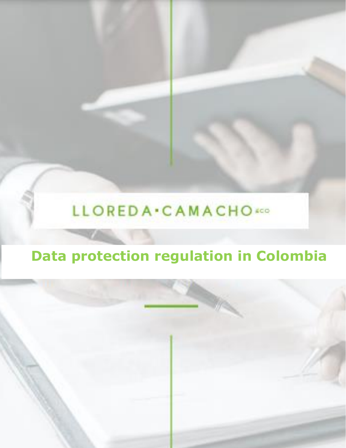# LLOREDA . CAMACHO

# **Data protection regulation in Colombia**

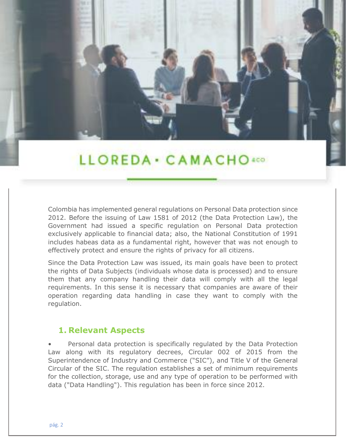## LLOREDA · CAMACHO400

Colombia has implemented general regulations on Personal Data protection since 2012. Before the issuing of Law 1581 of 2012 (the Data Protection Law), the Government had issued a specific regulation on Personal Data protection exclusively applicable to financial data; also, the National Constitution of 1991 includes habeas data as a fundamental right, however that was not enough to effectively protect and ensure the rights of privacy for all citizens.

Since the Data Protection Law was issued, its main goals have been to protect the rights of Data Subjects (individuals whose data is processed) and to ensure them that any company handling their data will comply with all the legal requirements. In this sense it is necessary that companies are aware of their operation regarding data handling in case they want to comply with the regulation.

#### **1. Relevant Aspects**

• Personal data protection is specifically regulated by the Data Protection Law along with its regulatory decrees, Circular 002 of 2015 from the Superintendence of Industry and Commerce ("SIC"), and Title V of the General Circular of the SIC. The regulation establishes a set of minimum requirements for the collection, storage, use and any type of operation to be performed with data ("Data Handling"). This regulation has been in force since 2012.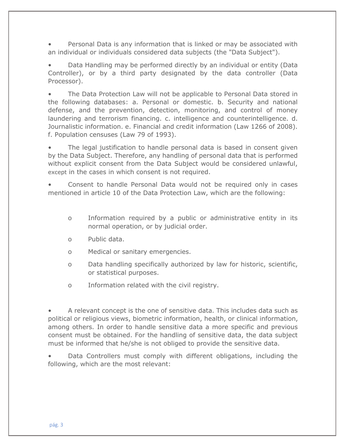• Personal Data is any information that is linked or may be associated with an individual or individuals considered data subjects (the "Data Subject").

• Data Handling may be performed directly by an individual or entity (Data Controller), or by a third party designated by the data controller (Data Processor).

• The Data Protection Law will not be applicable to Personal Data stored in the following databases: a. Personal or domestic. b. Security and national defense, and the prevention, detection, monitoring, and control of money laundering and terrorism financing. c. intelligence and counterintelligence. d. Journalistic information. e. Financial and credit information (Law 1266 of 2008). f. Population censuses (Law 79 of 1993).

The legal justification to handle personal data is based in consent given by the Data Subject. Therefore, any handling of personal data that is performed without explicit consent from the Data Subject would be considered unlawful, except in the cases in which consent is not required.

• Consent to handle Personal Data would not be required only in cases mentioned in article 10 of the Data Protection Law, which are the following:

- o Information required by a public or administrative entity in its normal operation, or by judicial order.
- o Public data.
- o Medical or sanitary emergencies.
- o Data handling specifically authorized by law for historic, scientific, or statistical purposes.
- o Information related with the civil registry.

• A relevant concept is the one of sensitive data. This includes data such as political or religious views, biometric information, health, or clinical information, among others. In order to handle sensitive data a more specific and previous consent must be obtained. For the handling of sensitive data, the data subject must be informed that he/she is not obliged to provide the sensitive data.

• Data Controllers must comply with different obligations, including the following, which are the most relevant: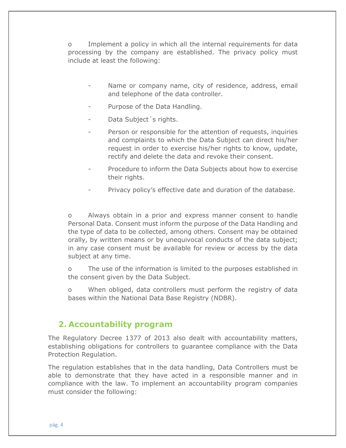o Implement a policy in which all the internal requirements for data processing by the company are established. The privacy policy must include at least the following:

- Name or company name, city of residence, address, email and telephone of the data controller.
- Purpose of the Data Handling.
- Data Subject's rights.
- Person or responsible for the attention of requests, inquiries and complaints to which the Data Subject can direct his/her request in order to exercise his/her rights to know, update, rectify and delete the data and revoke their consent.
- Procedure to inform the Data Subjects about how to exercise their rights.
- Privacy policy's effective date and duration of the database.

o Always obtain in a prior and express manner consent to handle Personal Data. Consent must inform the purpose of the Data Handling and the type of data to be collected, among others. Consent may be obtained orally, by written means or by unequivocal conducts of the data subject; in any case consent must be available for review or access by the data subject at any time.

o The use of the information is limited to the purposes established in the consent given by the Data Subject.

o When obliged, data controllers must perform the registry of data bases within the National Data Base Registry (NDBR).

#### **2. Accountability program**

The Regulatory Decree 1377 of 2013 also dealt with accountability matters, establishing obligations for controllers to guarantee compliance with the Data Protection Regulation.

The regulation establishes that in the data handling, Data Controllers must be able to demonstrate that they have acted in a responsible manner and in compliance with the law. To implement an accountability program companies must consider the following: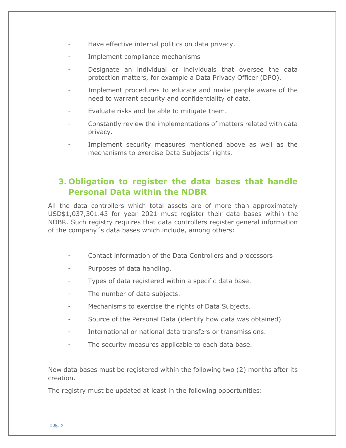- Have effective internal politics on data privacy.
- Implement compliance mechanisms
- Designate an individual or individuals that oversee the data protection matters, for example a Data Privacy Officer (DPO).
- Implement procedures to educate and make people aware of the need to warrant security and confidentiality of data.
- Evaluate risks and be able to mitigate them.
- Constantly review the implementations of matters related with data privacy.
- Implement security measures mentioned above as well as the mechanisms to exercise Data Subjects' rights.

### **3. Obligation to register the data bases that handle Personal Data within the NDBR**

All the data controllers which total assets are of more than approximately USD\$1,037,301.43 for year 2021 must register their data bases within the NDBR. Such registry requires that data controllers register general information of the company´s data bases which include, among others:

- Contact information of the Data Controllers and processors
- Purposes of data handling.
- Types of data registered within a specific data base.
- The number of data subjects.
- Mechanisms to exercise the rights of Data Subjects.
- Source of the Personal Data (identify how data was obtained)
- International or national data transfers or transmissions.
- The security measures applicable to each data base.

New data bases must be registered within the following two (2) months after its creation.

The registry must be updated at least in the following opportunities: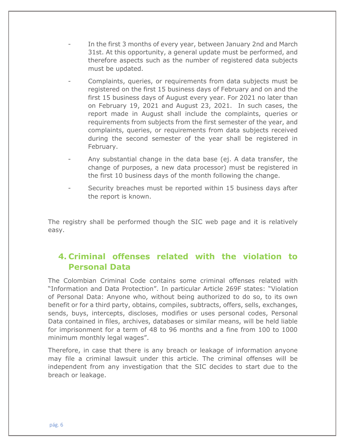- In the first 3 months of every year, between January 2nd and March 31st. At this opportunity, a general update must be performed, and therefore aspects such as the number of registered data subjects must be updated.
- Complaints, queries, or requirements from data subjects must be registered on the first 15 business days of February and on and the first 15 business days of August every year. For 2021 no later than on February 19, 2021 and August 23, 2021. In such cases, the report made in August shall include the complaints, queries or requirements from subjects from the first semester of the year, and complaints, queries, or requirements from data subjects received during the second semester of the year shall be registered in February.
- Any substantial change in the data base (ej. A data transfer, the change of purposes, a new data processor) must be registered in the first 10 business days of the month following the change.
- Security breaches must be reported within 15 business days after the report is known.

The registry shall be performed though the SIC web page and it is relatively easy.

### **4. Criminal offenses related with the violation to Personal Data**

The Colombian Criminal Code contains some criminal offenses related with "Information and Data Protection". In particular Article 269F states: "Violation of Personal Data: Anyone who, without being authorized to do so, to its own benefit or for a third party, obtains, compiles, subtracts, offers, sells, exchanges, sends, buys, intercepts, discloses, modifies or uses personal codes, Personal Data contained in files, archives, databases or similar means, will be held liable for imprisonment for a term of 48 to 96 months and a fine from 100 to 1000 minimum monthly legal wages".

Therefore, in case that there is any breach or leakage of information anyone may file a criminal lawsuit under this article. The criminal offenses will be independent from any investigation that the SIC decides to start due to the breach or leakage.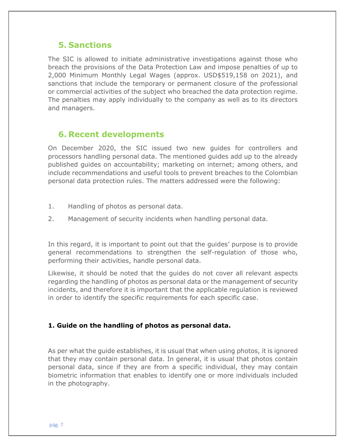#### **5. Sanctions**

The SIC is allowed to initiate administrative investigations against those who breach the provisions of the Data Protection Law and impose penalties of up to 2,000 Minimum Monthly Legal Wages (approx. USD\$519,158 on 2021), and sanctions that include the temporary or permanent closure of the professional or commercial activities of the subject who breached the data protection regime. The penalties may apply individually to the company as well as to its directors and managers.

#### **6. Recent developments**

On December 2020, the SIC issued two new guides for controllers and processors handling personal data. The mentioned guides add up to the already published guides on accountability; marketing on internet; among others, and include recommendations and useful tools to prevent breaches to the Colombian personal data protection rules. The matters addressed were the following:

- 1. Handling of photos as personal data.
- 2. Management of security incidents when handling personal data.

In this regard, it is important to point out that the guides' purpose is to provide general recommendations to strengthen the self-regulation of those who, performing their activities, handle personal data.

Likewise, it should be noted that the guides do not cover all relevant aspects regarding the handling of photos as personal data or the management of security incidents, and therefore it is important that the applicable regulation is reviewed in order to identify the specific requirements for each specific case.

#### **1. Guide on the handling of photos as personal data.**

As per what the guide establishes, it is usual that when using photos, it is ignored that they may contain personal data. In general, it is usual that photos contain personal data, since if they are from a specific individual, they may contain biometric information that enables to identify one or more individuals included in the photography.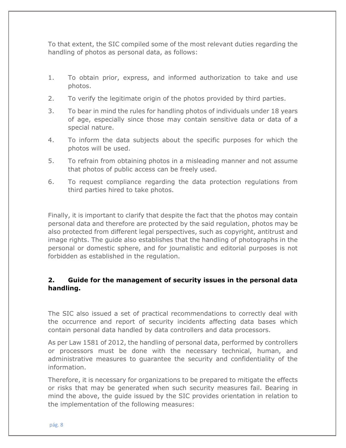To that extent, the SIC compiled some of the most relevant duties regarding the handling of photos as personal data, as follows:

- 1. To obtain prior, express, and informed authorization to take and use photos.
- 2. To verify the legitimate origin of the photos provided by third parties.
- 3. To bear in mind the rules for handling photos of individuals under 18 years of age, especially since those may contain sensitive data or data of a special nature.
- 4. To inform the data subjects about the specific purposes for which the photos will be used.
- 5. To refrain from obtaining photos in a misleading manner and not assume that photos of public access can be freely used.
- 6. To request compliance regarding the data protection regulations from third parties hired to take photos.

Finally, it is important to clarify that despite the fact that the photos may contain personal data and therefore are protected by the said regulation, photos may be also protected from different legal perspectives, such as copyright, antitrust and image rights. The guide also establishes that the handling of photographs in the personal or domestic sphere, and for journalistic and editorial purposes is not forbidden as established in the regulation.

#### **2. Guide for the management of security issues in the personal data handling.**

The SIC also issued a set of practical recommendations to correctly deal with the occurrence and report of security incidents affecting data bases which contain personal data handled by data controllers and data processors.

As per Law 1581 of 2012, the handling of personal data, performed by controllers or processors must be done with the necessary technical, human, and administrative measures to guarantee the security and confidentiality of the information.

Therefore, it is necessary for organizations to be prepared to mitigate the effects or risks that may be generated when such security measures fail. Bearing in mind the above, the guide issued by the SIC provides orientation in relation to the implementation of the following measures: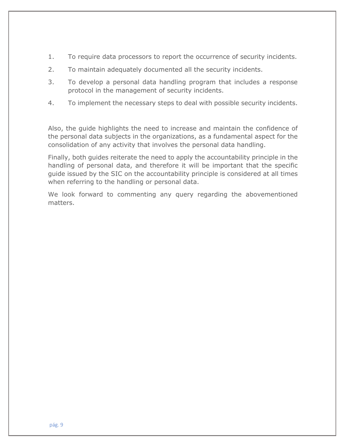- 1. To require data processors to report the occurrence of security incidents.
- 2. To maintain adequately documented all the security incidents.
- 3. To develop a personal data handling program that includes a response protocol in the management of security incidents.
- 4. To implement the necessary steps to deal with possible security incidents.

Also, the guide highlights the need to increase and maintain the confidence of the personal data subjects in the organizations, as a fundamental aspect for the consolidation of any activity that involves the personal data handling.

Finally, both guides reiterate the need to apply the accountability principle in the handling of personal data, and therefore it will be important that the specific guide issued by the SIC on the accountability principle is considered at all times when referring to the handling or personal data.

We look forward to commenting any query regarding the abovementioned matters.